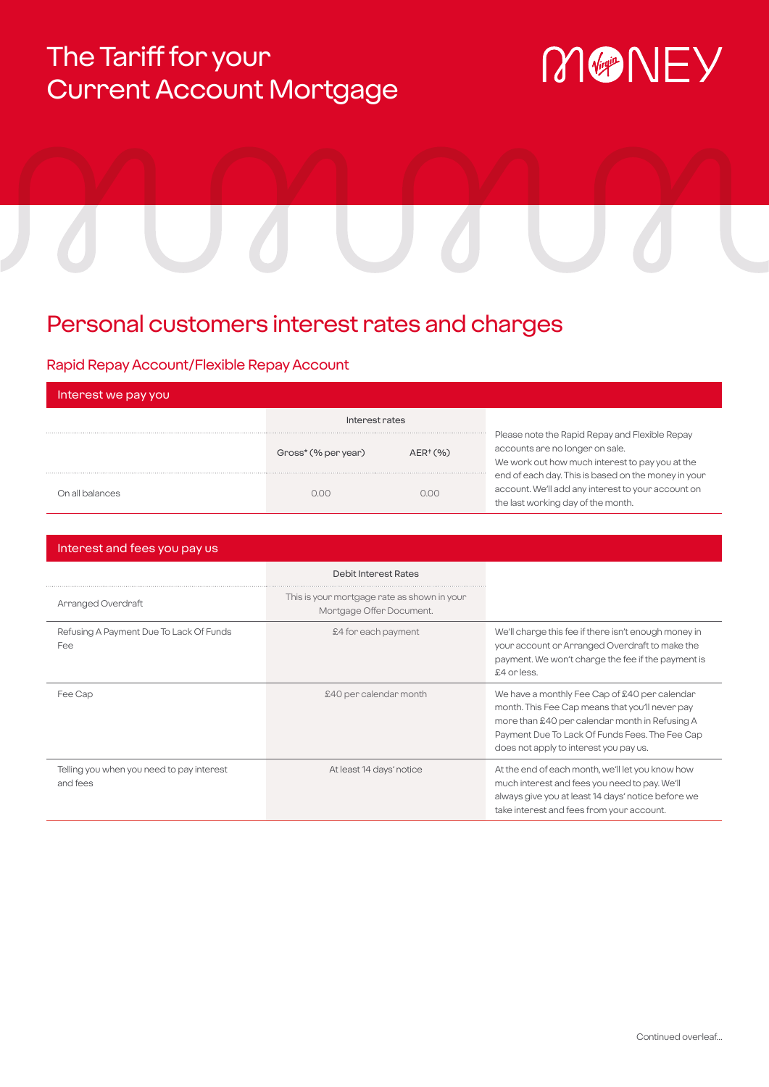# The Tariff for your Current Account Mortgage

# MONEY

# Personal customers interest rates and charges

# Rapid Repay Account/Flexible Repay Account

| Interest we pay you |                     |               |                                                                                                                                                 |
|---------------------|---------------------|---------------|-------------------------------------------------------------------------------------------------------------------------------------------------|
|                     | Interest rates      |               |                                                                                                                                                 |
|                     | Gross* (% per year) | $AER^{+}(% )$ | Please note the Rapid Repay and Flexible Repay<br>accounts are no longer on sale.<br>We work out how much interest to pay you at the            |
| On all balances     | n nn                | n nn          | end of each day. This is based on the money in your<br>account. We'll add any interest to your account on<br>the last working day of the month. |

| Interest and fees you pay us                          |                                                                         |                                                                                                                                                                                                                                                |
|-------------------------------------------------------|-------------------------------------------------------------------------|------------------------------------------------------------------------------------------------------------------------------------------------------------------------------------------------------------------------------------------------|
|                                                       | <b>Debit Interest Rates</b>                                             |                                                                                                                                                                                                                                                |
| Arranged Overdraft                                    | This is your mortgage rate as shown in your<br>Mortgage Offer Document. |                                                                                                                                                                                                                                                |
| Refusing A Payment Due To Lack Of Funds<br>Fee        | £4 for each payment                                                     | We'll change this fee if there isn't enough money in<br>your account or Arranged Overdraft to make the<br>payment. We won't charge the fee if the payment is<br>£4 or less.                                                                    |
| Fee Cap                                               | £40 per calendar month                                                  | We have a monthly Fee Cap of £40 per calendar<br>month. This Fee Cap means that you'll never pay<br>more than £40 per calendar month in Refusing A<br>Payment Due To Lack Of Funds Fees. The Fee Cap<br>does not apply to interest you pay us. |
| Telling you when you need to pay interest<br>and fees | At least 14 days' notice                                                | At the end of each month, we'll let you know how<br>much interest and fees you need to pay. We'll<br>always give you at least 14 days' notice before we<br>take interest and fees from your account.                                           |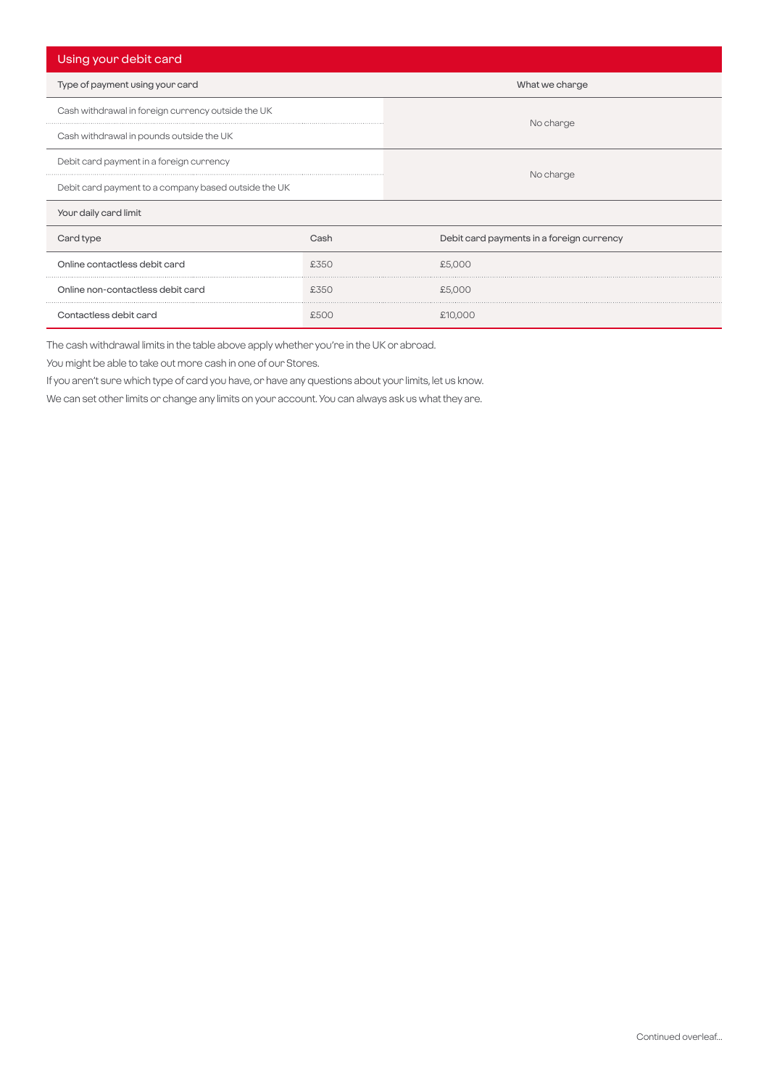| Using your debit card                                |      |                                           |  |  |
|------------------------------------------------------|------|-------------------------------------------|--|--|
| Type of payment using your card                      |      | What we charge                            |  |  |
| Cash withdrawal in foreign currency outside the UK   |      | No charge                                 |  |  |
| Cash withdrawal in pounds outside the UK             |      |                                           |  |  |
| Debit card payment in a foreign currency             |      |                                           |  |  |
| Debit card payment to a company based outside the UK |      | No charge                                 |  |  |
| Your daily card limit                                |      |                                           |  |  |
| Card type                                            | Cash | Debit card payments in a foreign currency |  |  |
| Online contactless debit card                        | £350 | £5,000                                    |  |  |
| Online non-contactless debit card                    | £350 | £5,000                                    |  |  |
| Contactless debit card                               | £500 | £10,000                                   |  |  |

The cash withdrawal limits in the table above apply whether you're in the UK or abroad.

You might be able to take out more cash in one of our Stores.

If you aren't sure which type of card you have, or have any questions about your limits, let us know.

We can set other limits or change any limits on your account. You can always ask us what they are.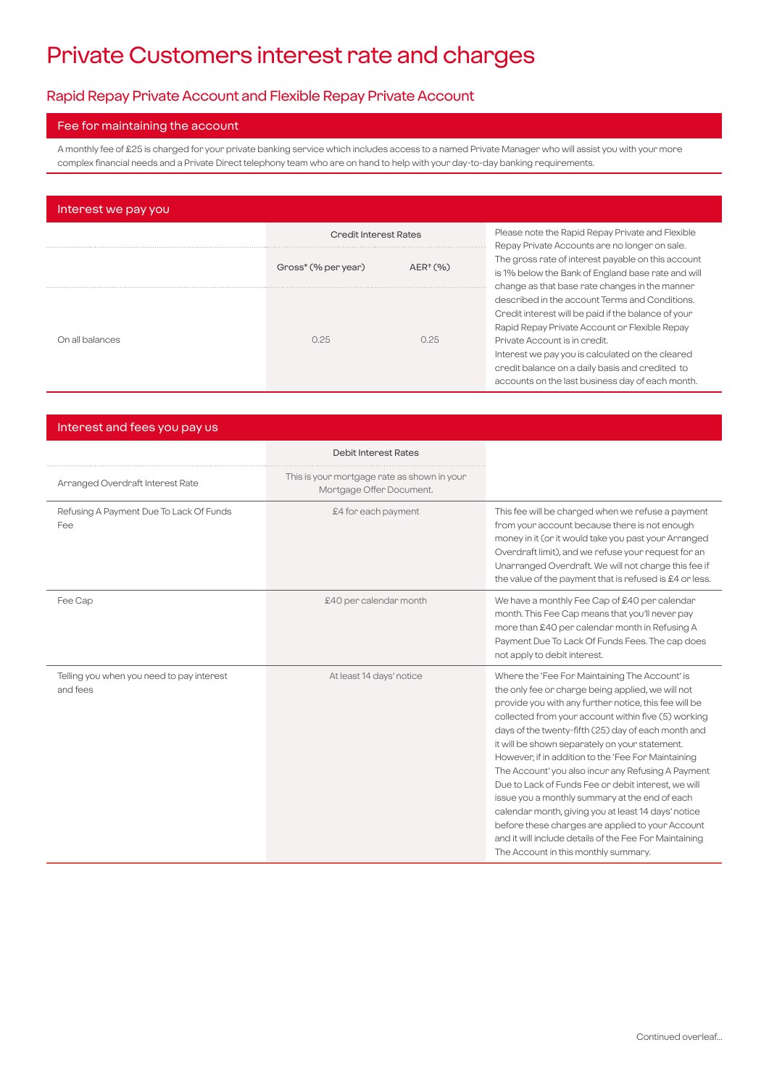# Private Customers interest rate and charges

# Rapid Repay Private Account and Flexible Repay Private Account

#### Fee for maintaining the account

A monthly fee of £25 is charged for your private banking service which includes access to a named Private Manager who will assist you with your more complex financial needs and a Private Direct telephony team who are on hand to help with your day-to-day banking requirements.

| Interest we pay you |                              |               |                                                                                                                                                                                                                                                                                                                                                    |  |  |  |
|---------------------|------------------------------|---------------|----------------------------------------------------------------------------------------------------------------------------------------------------------------------------------------------------------------------------------------------------------------------------------------------------------------------------------------------------|--|--|--|
|                     | <b>Credit Interest Rates</b> |               | Please note the Rapid Repay Private and Flexible<br>Repay Private Accounts are no longer on sale.                                                                                                                                                                                                                                                  |  |  |  |
|                     | Gross* (% per year)          | $AER^{+}(% )$ | The gross rate of interest payable on this account<br>is 1% below the Bank of England base rate and will<br>change as that base rate changes in the manner                                                                                                                                                                                         |  |  |  |
| On all balances     | 0.25                         | 0.25          | described in the account Terms and Conditions.<br>Credit interest will be paid if the balance of your<br>Rapid Repay Private Account or Flexible Repay<br>Private Account is in credit.<br>Interest we pay you is calculated on the cleared<br>credit balance on a daily basis and credited to<br>accounts on the last business day of each month. |  |  |  |

| Interest and fees you pay us                          |                                                                         |                                                                                                                                                                                                                                                                                                                                                                                                                                                                                                                                                                                                                                                                                                                                                                 |
|-------------------------------------------------------|-------------------------------------------------------------------------|-----------------------------------------------------------------------------------------------------------------------------------------------------------------------------------------------------------------------------------------------------------------------------------------------------------------------------------------------------------------------------------------------------------------------------------------------------------------------------------------------------------------------------------------------------------------------------------------------------------------------------------------------------------------------------------------------------------------------------------------------------------------|
|                                                       | <b>Debit Interest Rates</b>                                             |                                                                                                                                                                                                                                                                                                                                                                                                                                                                                                                                                                                                                                                                                                                                                                 |
| Arranged Overdraft Interest Rate                      | This is your mortgage rate as shown in your<br>Mortgage Offer Document. |                                                                                                                                                                                                                                                                                                                                                                                                                                                                                                                                                                                                                                                                                                                                                                 |
| Refusing A Payment Due To Lack Of Funds<br>Fee        | £4 for each payment                                                     | This fee will be charged when we refuse a payment<br>from your account because there is not enough<br>money in it (or it would take you past your Arranged<br>Overdraft limit), and we refuse your request for an<br>Unarranged Overdraft. We will not charge this fee if<br>the value of the payment that is refused is £4 or less.                                                                                                                                                                                                                                                                                                                                                                                                                            |
| Fee Cap                                               | £40 per calendar month                                                  | We have a monthly Fee Cap of £40 per calendar<br>month. This Fee Cap means that you'll never pay<br>more than £40 per calendar month in Refusing A<br>Payment Due To Lack Of Funds Fees. The cap does<br>not apply to debit interest.                                                                                                                                                                                                                                                                                                                                                                                                                                                                                                                           |
| Telling you when you need to pay interest<br>and fees | At least 14 days' notice                                                | Where the 'Fee For Maintaining The Account' is<br>the only fee or charge being applied, we will not<br>provide you with any further notice, this fee will be<br>collected from your account within five (5) working<br>days of the twenty-fifth (25) day of each month and<br>it will be shown separately on your statement.<br>However, if in addition to the 'Fee For Maintaining<br>The Account' you also incur any Refusing A Payment<br>Due to Lack of Funds Fee or debit interest, we will<br>issue you a monthly summary at the end of each<br>calendar month, giving you at least 14 days' notice<br>before these charges are applied to your Account<br>and it will include details of the Fee For Maintaining<br>The Account in this monthly summary. |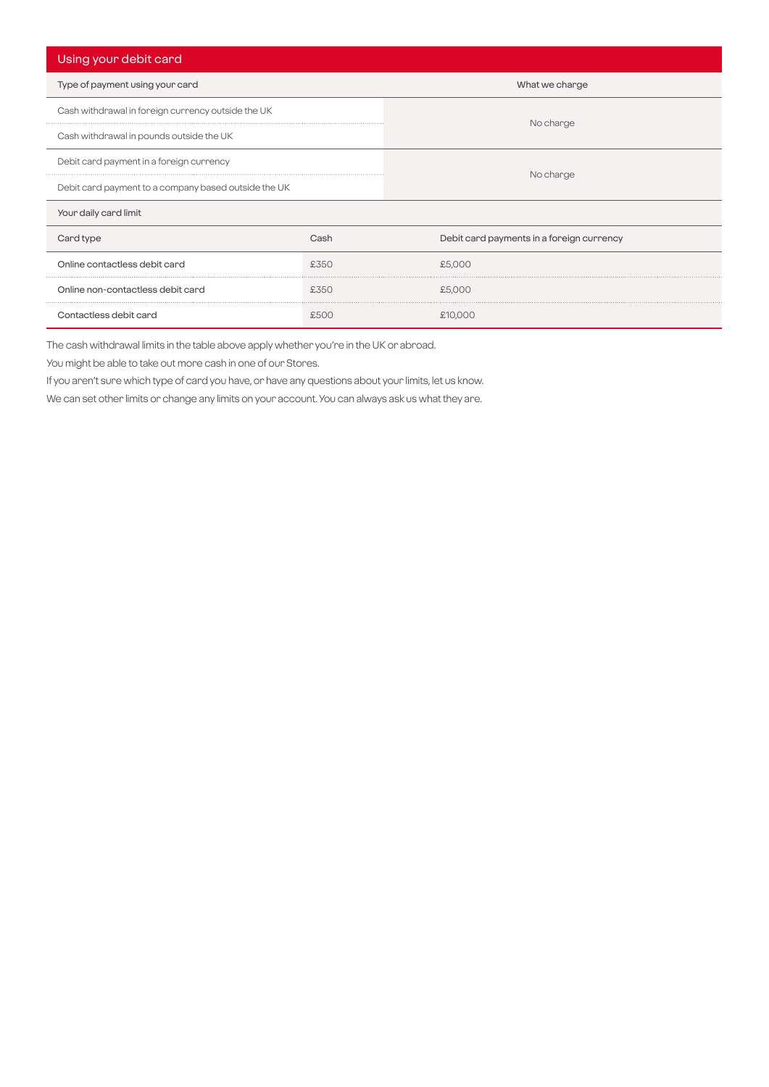| Using your debit card                                |      |                                           |  |  |
|------------------------------------------------------|------|-------------------------------------------|--|--|
| Type of payment using your card                      |      | What we charge                            |  |  |
| Cash withdrawal in foreign currency outside the UK   |      |                                           |  |  |
| Cash withdrawal in pounds outside the UK             |      | No charge                                 |  |  |
| Debit card payment in a foreign currency             |      |                                           |  |  |
| Debit card payment to a company based outside the UK |      | No charge                                 |  |  |
| Your daily card limit                                |      |                                           |  |  |
| Card type                                            | Cash | Debit card payments in a foreign currency |  |  |
| Online contactless debit card                        | £350 | £5,000                                    |  |  |
| Online non-contactless debit card                    | £350 | £5,000                                    |  |  |
| Contactless debit card                               | £500 | £10,000                                   |  |  |

The cash withdrawal limits in the table above apply whether you're in the UK or abroad.

You might be able to take out more cash in one of our Stores.

If you aren't sure which type of card you have, or have any questions about your limits, let us know.

We can set other limits or change any limits on your account. You can always ask us what they are.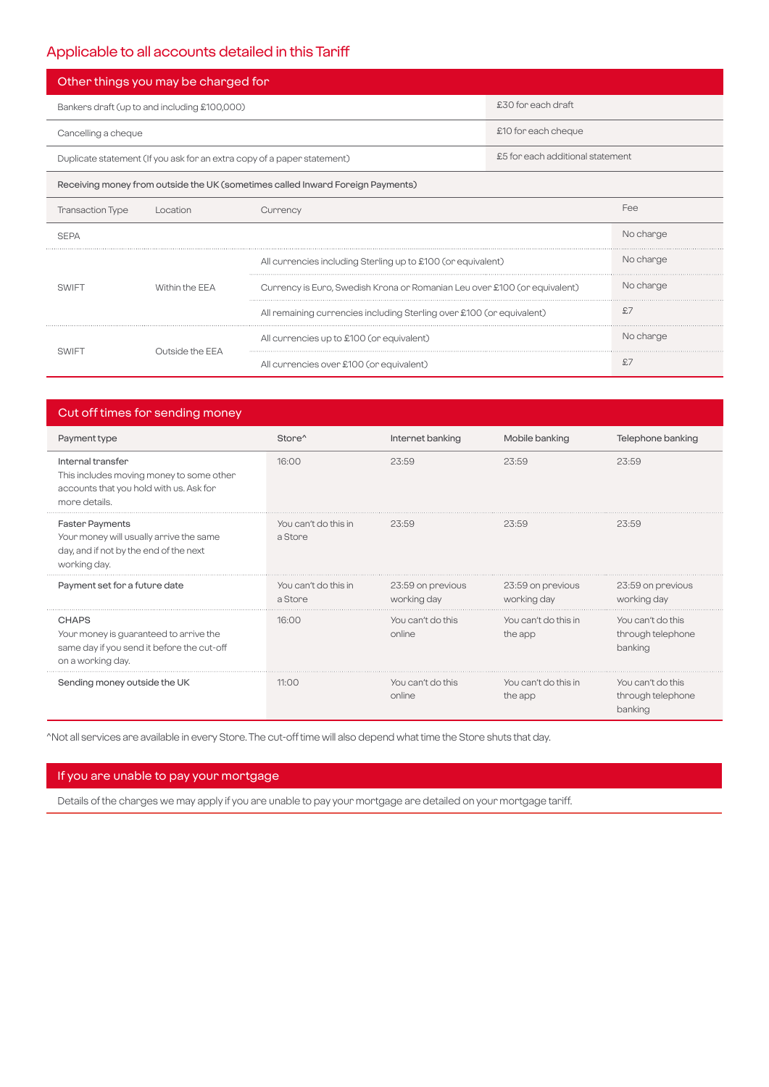# Applicable to all accounts detailed in this Tariff

| Other things you may be charged for                                            |                                                                           |                                                              |                     |           |  |
|--------------------------------------------------------------------------------|---------------------------------------------------------------------------|--------------------------------------------------------------|---------------------|-----------|--|
| Bankers draft (up to and including £100,000)                                   |                                                                           | £30 for each draft                                           |                     |           |  |
| Cancelling a cheque                                                            |                                                                           |                                                              | £10 for each cheque |           |  |
| Duplicate statement (If you ask for an extra copy of a paper statement)        |                                                                           | £5 for each additional statement                             |                     |           |  |
| Receiving money from outside the UK (sometimes called Inward Foreign Payments) |                                                                           |                                                              |                     |           |  |
| <b>Transaction Type</b>                                                        | Location                                                                  | Currency                                                     |                     | Fee       |  |
| <b>SEPA</b>                                                                    |                                                                           |                                                              |                     | No charge |  |
|                                                                                |                                                                           | All currencies including Sterling up to £100 (or equivalent) |                     | No charge |  |
| Within the FFA<br><b>SWIFT</b>                                                 | Currency is Euro, Swedish Krona or Romanian Leu over £100 (or equivalent) | No charge                                                    |                     |           |  |
|                                                                                | All remaining currencies including Sterling over £100 (or equivalent)     | £7                                                           |                     |           |  |
|                                                                                | Outside the EEA                                                           | All currencies up to £100 (or equivalent)                    |                     | No charge |  |
| SWIF <sub>1</sub>                                                              |                                                                           | All currencies over £100 (or equivalent)                     |                     | £7        |  |

| Cut off times for sending money                                                                                             |                                 |                                  |                                  |                                                   |  |
|-----------------------------------------------------------------------------------------------------------------------------|---------------------------------|----------------------------------|----------------------------------|---------------------------------------------------|--|
| Payment type                                                                                                                | Store <sup>^</sup>              | Internet banking                 | Mobile banking                   | Telephone banking                                 |  |
| Internal transfer<br>This includes moving money to some other<br>accounts that you hold with us. Ask for<br>more details.   | 16:00                           | 23:59                            | 23:59                            | 23:59                                             |  |
| <b>Faster Payments</b><br>Your money will usually arrive the same<br>day, and if not by the end of the next<br>working day. | You can't do this in<br>a Store | 23:59                            | 23:59                            | 23:59                                             |  |
| Payment set for a future date                                                                                               | You can't do this in<br>a Store | 23:59 on previous<br>working day | 23:59 on previous<br>working day | 23:59 on previous<br>working day                  |  |
| <b>CHAPS</b><br>Your money is guaranteed to arrive the<br>same day if you send it before the cut-off<br>on a working day.   | 16:00                           | You can't do this<br>online      | You can't do this in<br>the app  | You can't do this<br>through telephone<br>banking |  |
| Sending money outside the UK                                                                                                | 11:00                           | You can't do this<br>online      | You can't do this in<br>the app  | You can't do this<br>through telephone<br>banking |  |

^Not all services are available in every Store. The cut-off time will also depend what time the Store shuts that day.

### If you are unable to pay your mortgage

Details of the charges we may apply if you are unable to pay your mortgage are detailed on your mortgage tariff.